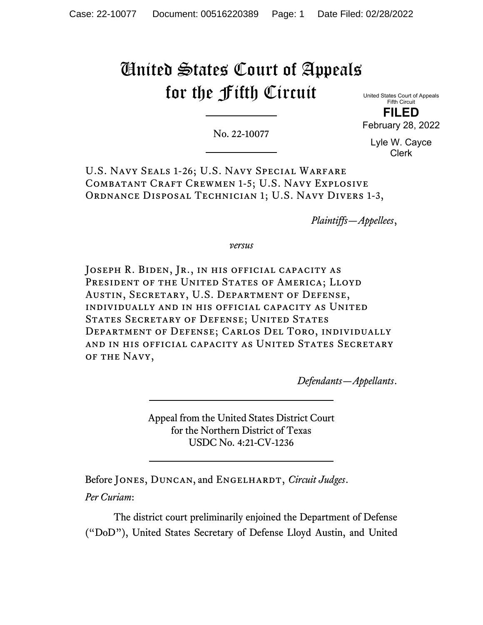# United States Court of Appeals for the Fifth Circuit

No. 22-10077

United States Court of Appeals Fifth Circuit **FILED**

February 28, 2022

Lyle W. Cayce Clerk

U.S. Navy Seals 1-26; U.S. Navy Special Warfare COMBATANT CRAFT CREWMEN 1-5; U.S. NAVY EXPLOSIVE ORDNANCE DISPOSAL TECHNICIAN 1; U.S. NAVY DIVERS 1-3,

*Plaintiffs—Appellees*,

*versus*

JOSEPH R. BIDEN, JR., IN HIS OFFICIAL CAPACITY AS PRESIDENT OF THE UNITED STATES OF AMERICA; LLOYD Austin, Secretary, U.S. Department of Defense, individually and in his official capacity as United STATES SECRETARY OF DEFENSE; UNITED STATES Department of Defense; Carlos Del Toro, individually and in his official capacity as United States Secretary of the Navy,

*Defendants—Appellants*.

Appeal from the United States District Court for the Northern District of Texas USDC No. 4:21-CV-1236

Before JONES, DUNCAN, and ENGELHARDT, *Circuit Judges*. *Per Curiam*:

The district court preliminarily enjoined the Department of Defense ("DoD"), United States Secretary of Defense Lloyd Austin, and United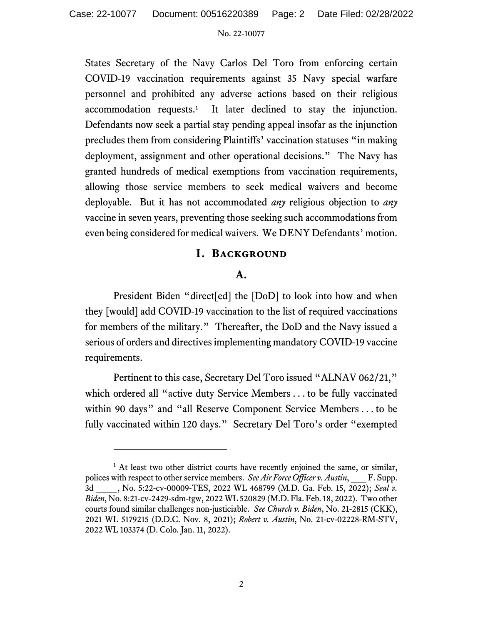States Secretary of the Navy Carlos Del Toro from enforcing certain COVID-19 vaccination requirements against 35 Navy special warfare personnel and prohibited any adverse actions based on their religious accommodation requests. [1](#page-1-0) It later declined to stay the injunction. Defendants now seek a partial stay pending appeal insofar as the injunction precludes them from considering Plaintiffs' vaccination statuses "in making deployment, assignment and other operational decisions." The Navy has granted hundreds of medical exemptions from vaccination requirements, allowing those service members to seek medical waivers and become deployable. But it has not accommodated *any* religious objection to *any* vaccine in seven years, preventing those seeking such accommodations from even being considered for medical waivers. We DENY Defendants' motion.

## **I. Background**

# **A.**

President Biden "direct[ed] the [DoD] to look into how and when they [would] add COVID-19 vaccination to the list of required vaccinations for members of the military." Thereafter, the DoD and the Navy issued a serious of orders and directives implementing mandatory COVID-19 vaccine requirements.

Pertinent to this case, Secretary Del Toro issued "ALNAV 062/21," which ordered all "active duty Service Members . . . to be fully vaccinated within 90 days" and "all Reserve Component Service Members . . . to be fully vaccinated within 120 days." Secretary Del Toro's order "exempted

<span id="page-1-0"></span><sup>&</sup>lt;sup>1</sup> At least two other district courts have recently enjoined the same, or similar, polices with respect to other service members. *See Air Force Officer v. Austin*, F. Supp. 3d \_\_\_\_, No. 5:22-cv-00009-TES, 2022 WL 468799 (M.D. Ga. Feb. 15, 2022); *Seal v. Biden*, No. 8:21-cv-2429-sdm-tgw, 2022 WL 520829 (M.D. Fla. Feb. 18, 2022). Two other courts found similar challenges non-justiciable. *See Church v. Biden*, No. 21-2815 (CKK), 2021 WL 5179215 (D.D.C. Nov. 8, 2021); *Robert v. Austin*, No. 21-cv-02228-RM-STV, 2022 WL 103374 (D. Colo. Jan. 11, 2022).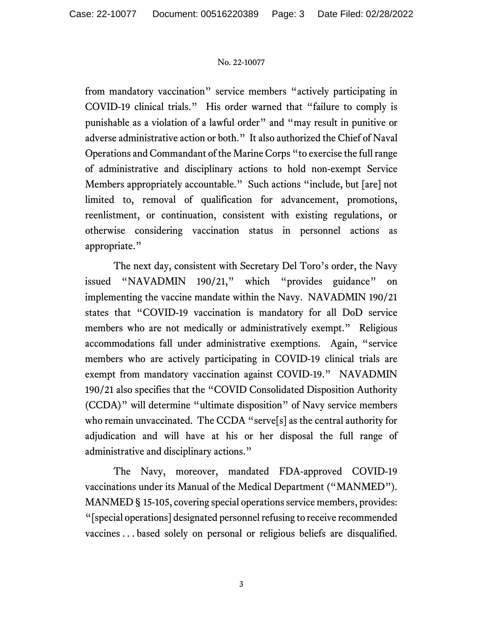from mandatory vaccination" service members "actively participating in COVID-19 clinical trials." His order warned that "failure to comply is punishable as a violation of a lawful order" and "may result in punitive or adverse administrative action or both." It also authorized the Chief of Naval Operations and Commandant of the Marine Corps "to exercise the full range of administrative and disciplinary actions to hold non-exempt Service Members appropriately accountable." Such actions "include, but [are] not limited to, removal of qualification for advancement, promotions, reenlistment, or continuation, consistent with existing regulations, or otherwise considering vaccination status in personnel actions as appropriate."

The next day, consistent with Secretary Del Toro's order, the Navy issued "NAVADMIN 190/21," which "provides guidance" on implementing the vaccine mandate within the Navy. NAVADMIN 190/21 states that "COVID-19 vaccination is mandatory for all DoD service members who are not medically or administratively exempt." Religious accommodations fall under administrative exemptions. Again, "service members who are actively participating in COVID-19 clinical trials are exempt from mandatory vaccination against COVID-19." NAVADMIN 190/21 also specifies that the "COVID Consolidated Disposition Authority (CCDA)" will determine "ultimate disposition" of Navy service members who remain unvaccinated. The CCDA "serve[s] as the central authority for adjudication and will have at his or her disposal the full range of administrative and disciplinary actions."

The Navy, moreover, mandated FDA-approved COVID-19 vaccinations under its Manual of the Medical Department ("MANMED"). MANMED § 15-105, covering special operations service members, provides: "[special operations] designated personnel refusing to receive recommended vaccines . . . based solely on personal or religious beliefs are disqualified.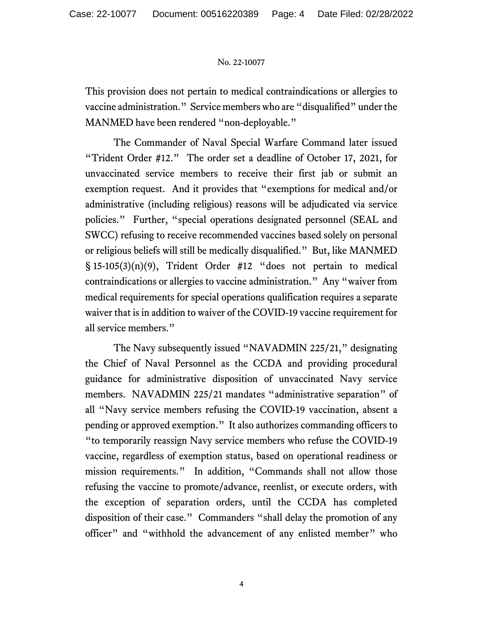This provision does not pertain to medical contraindications or allergies to vaccine administration." Service members who are "disqualified" under the MANMED have been rendered "non-deployable."

The Commander of Naval Special Warfare Command later issued "Trident Order #12." The order set a deadline of October 17, 2021, for unvaccinated service members to receive their first jab or submit an exemption request. And it provides that "exemptions for medical and/or administrative (including religious) reasons will be adjudicated via service policies." Further, "special operations designated personnel (SEAL and SWCC) refusing to receive recommended vaccines based solely on personal or religious beliefs will still be medically disqualified." But, like MANMED  $\S$  15-105(3)(n)(9), Trident Order #12 "does not pertain to medical contraindications or allergies to vaccine administration." Any "waiver from medical requirements for special operations qualification requires a separate waiver that is in addition to waiver of the COVID-19 vaccine requirement for all service members."

The Navy subsequently issued "NAVADMIN 225/21," designating the Chief of Naval Personnel as the CCDA and providing procedural guidance for administrative disposition of unvaccinated Navy service members. NAVADMIN 225/21 mandates "administrative separation" of all "Navy service members refusing the COVID-19 vaccination, absent a pending or approved exemption." It also authorizes commanding officers to "to temporarily reassign Navy service members who refuse the COVID-19 vaccine, regardless of exemption status, based on operational readiness or mission requirements." In addition, "Commands shall not allow those refusing the vaccine to promote/advance, reenlist, or execute orders, with the exception of separation orders, until the CCDA has completed disposition of their case." Commanders "shall delay the promotion of any officer" and "withhold the advancement of any enlisted member" who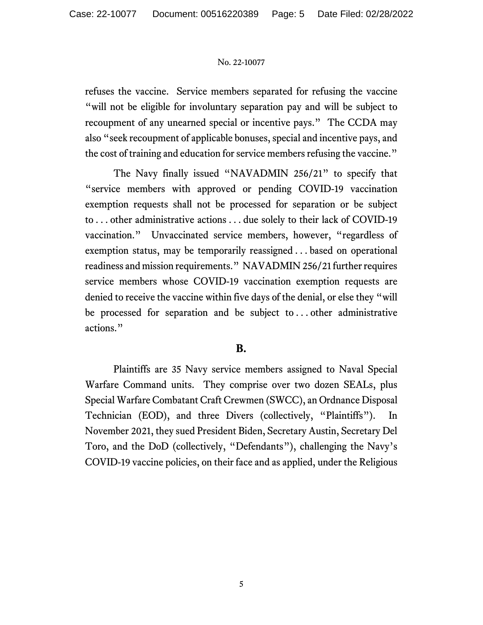refuses the vaccine. Service members separated for refusing the vaccine "will not be eligible for involuntary separation pay and will be subject to recoupment of any unearned special or incentive pays." The CCDA may also "seek recoupment of applicable bonuses, special and incentive pays, and the cost of training and education for service members refusing the vaccine."

The Navy finally issued "NAVADMIN 256/21" to specify that "service members with approved or pending COVID-19 vaccination exemption requests shall not be processed for separation or be subject to . . . other administrative actions . . . due solely to their lack of COVID-19 vaccination." Unvaccinated service members, however, "regardless of exemption status, may be temporarily reassigned . . . based on operational readiness and mission requirements." NAVADMIN 256/21 further requires service members whose COVID-19 vaccination exemption requests are denied to receive the vaccine within five days of the denial, or else they "will be processed for separation and be subject to . . . other administrative actions."

# **B.**

Plaintiffs are 35 Navy service members assigned to Naval Special Warfare Command units. They comprise over two dozen SEALs, plus Special Warfare Combatant Craft Crewmen (SWCC), an Ordnance Disposal Technician (EOD), and three Divers (collectively, "Plaintiffs"). In November 2021, they sued President Biden, Secretary Austin, Secretary Del Toro, and the DoD (collectively, "Defendants"), challenging the Navy's COVID-19 vaccine policies, on their face and as applied, under the Religious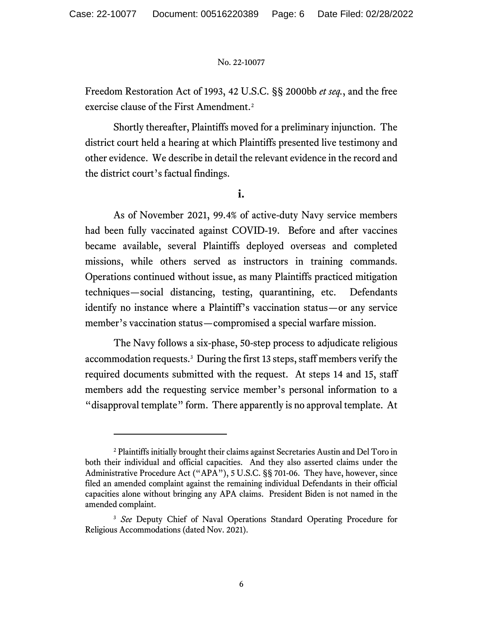Freedom Restoration Act of 1993, 42 U.S.C. §§ 2000bb *et seq.*, and the free exercise clause of the First Amendment.<sup>[2](#page-5-0)</sup>

Shortly thereafter, Plaintiffs moved for a preliminary injunction. The district court held a hearing at which Plaintiffs presented live testimony and other evidence. We describe in detail the relevant evidence in the record and the district court's factual findings.

**i.**

As of November 2021, 99.4% of active-duty Navy service members had been fully vaccinated against COVID-19. Before and after vaccines became available, several Plaintiffs deployed overseas and completed missions, while others served as instructors in training commands. Operations continued without issue, as many Plaintiffs practiced mitigation techniques—social distancing, testing, quarantining, etc. Defendants identify no instance where a Plaintiff's vaccination status—or any service member's vaccination status—compromised a special warfare mission.

The Navy follows a six-phase, 50-step process to adjudicate religious accommodation requests.<sup>3</sup> During the first 13 steps, staff members verify the required documents submitted with the request. At steps 14 and 15, staff members add the requesting service member's personal information to a "disapproval template" form. There apparently is no approval template. At

<span id="page-5-0"></span><sup>2</sup> Plaintiffs initially brought their claims against Secretaries Austin and Del Toro in both their individual and official capacities. And they also asserted claims under the Administrative Procedure Act ("APA"), 5 U.S.C. §§ 701-06. They have, however, since filed an amended complaint against the remaining individual Defendants in their official capacities alone without bringing any APA claims. President Biden is not named in the amended complaint.

<span id="page-5-1"></span><sup>&</sup>lt;sup>3</sup> See Deputy Chief of Naval Operations Standard Operating Procedure for Religious Accommodations (dated Nov. 2021).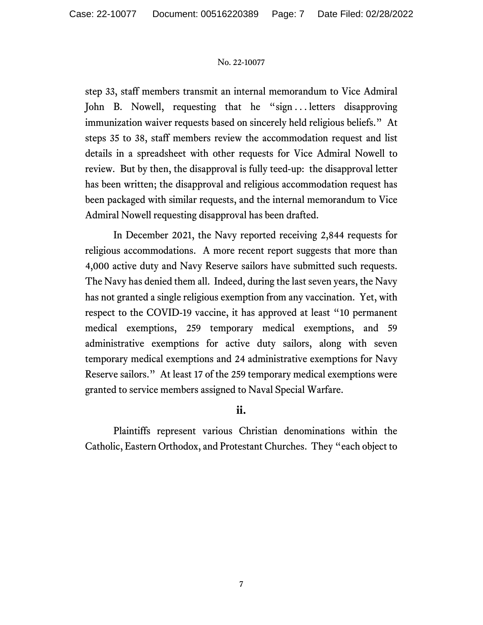step 33, staff members transmit an internal memorandum to Vice Admiral John B. Nowell, requesting that he "sign...letters disapproving immunization waiver requests based on sincerely held religious beliefs." At steps 35 to 38, staff members review the accommodation request and list details in a spreadsheet with other requests for Vice Admiral Nowell to review. But by then, the disapproval is fully teed-up: the disapproval letter has been written; the disapproval and religious accommodation request has been packaged with similar requests, and the internal memorandum to Vice Admiral Nowell requesting disapproval has been drafted.

In December 2021, the Navy reported receiving 2,844 requests for religious accommodations. A more recent report suggests that more than 4,000 active duty and Navy Reserve sailors have submitted such requests. The Navy has denied them all. Indeed, during the last seven years, the Navy has not granted a single religious exemption from any vaccination. Yet, with respect to the COVID-19 vaccine, it has approved at least "10 permanent medical exemptions, 259 temporary medical exemptions, and 59 administrative exemptions for active duty sailors, along with seven temporary medical exemptions and 24 administrative exemptions for Navy Reserve sailors." At least 17 of the 259 temporary medical exemptions were granted to service members assigned to Naval Special Warfare.

# **ii.**

Plaintiffs represent various Christian denominations within the Catholic, Eastern Orthodox, and Protestant Churches. They "each object to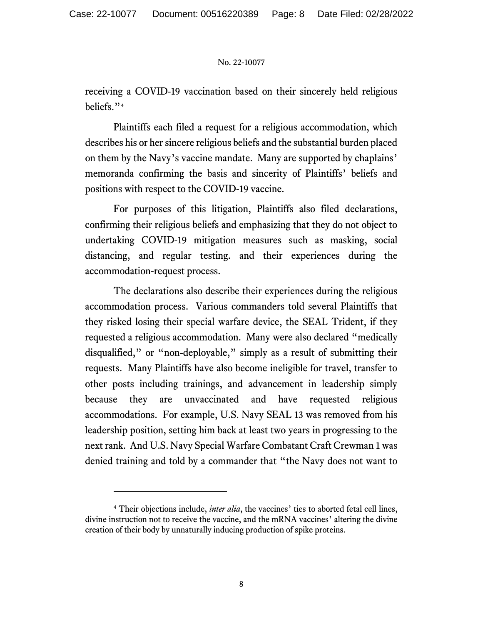receiving a COVID-19 vaccination based on their sincerely held religious beliefs."[4](#page-7-0)

Plaintiffs each filed a request for a religious accommodation, which describes his or her sincere religious beliefs and the substantial burden placed on them by the Navy's vaccine mandate. Many are supported by chaplains' memoranda confirming the basis and sincerity of Plaintiffs' beliefs and positions with respect to the COVID-19 vaccine.

For purposes of this litigation, Plaintiffs also filed declarations, confirming their religious beliefs and emphasizing that they do not object to undertaking COVID-19 mitigation measures such as masking, social distancing, and regular testing. and their experiences during the accommodation-request process.

The declarations also describe their experiences during the religious accommodation process. Various commanders told several Plaintiffs that they risked losing their special warfare device, the SEAL Trident, if they requested a religious accommodation. Many were also declared "medically disqualified," or "non-deployable," simply as a result of submitting their requests. Many Plaintiffs have also become ineligible for travel, transfer to other posts including trainings, and advancement in leadership simply because they are unvaccinated and have requested religious accommodations. For example, U.S. Navy SEAL 13 was removed from his leadership position, setting him back at least two years in progressing to the next rank. And U.S. Navy Special Warfare Combatant Craft Crewman 1 was denied training and told by a commander that "the Navy does not want to

<span id="page-7-0"></span><sup>&</sup>lt;sup>4</sup> Their objections include, *inter alia*, the vaccines' ties to aborted fetal cell lines, divine instruction not to receive the vaccine, and the mRNA vaccines' altering the divine creation of their body by unnaturally inducing production of spike proteins.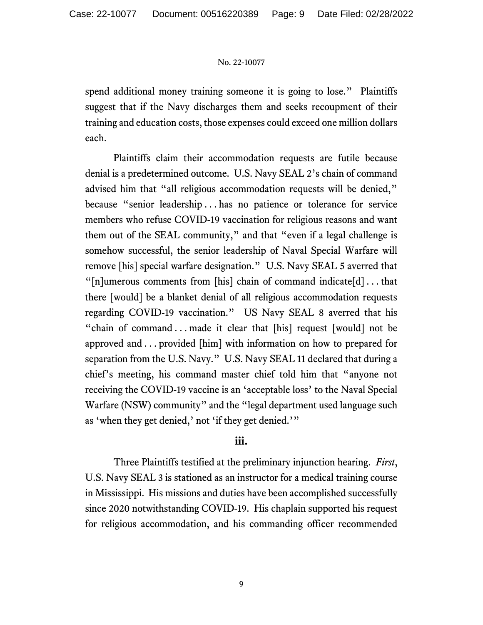spend additional money training someone it is going to lose." Plaintiffs suggest that if the Navy discharges them and seeks recoupment of their training and education costs, those expenses could exceed one million dollars each.

Plaintiffs claim their accommodation requests are futile because denial is a predetermined outcome. U.S. Navy SEAL 2's chain of command advised him that "all religious accommodation requests will be denied," because "senior leadership . . . has no patience or tolerance for service members who refuse COVID-19 vaccination for religious reasons and want them out of the SEAL community," and that "even if a legal challenge is somehow successful, the senior leadership of Naval Special Warfare will remove [his] special warfare designation." U.S. Navy SEAL 5 averred that " $[n]$ umerous comments from  $[n]$  chain of command indicate $[d]$ ... that there [would] be a blanket denial of all religious accommodation requests regarding COVID-19 vaccination." US Navy SEAL 8 averred that his "chain of command . . . made it clear that [his] request [would] not be approved and . . . provided [him] with information on how to prepared for separation from the U.S. Navy." U.S. Navy SEAL 11 declared that during a chief's meeting, his command master chief told him that "anyone not receiving the COVID-19 vaccine is an 'acceptable loss' to the Naval Special Warfare (NSW) community" and the "legal department used language such as 'when they get denied,' not 'if they get denied.'"

# **iii.**

Three Plaintiffs testified at the preliminary injunction hearing. *First*, U.S. Navy SEAL 3 is stationed as an instructor for a medical training course in Mississippi. His missions and duties have been accomplished successfully since 2020 notwithstanding COVID-19. His chaplain supported his request for religious accommodation, and his commanding officer recommended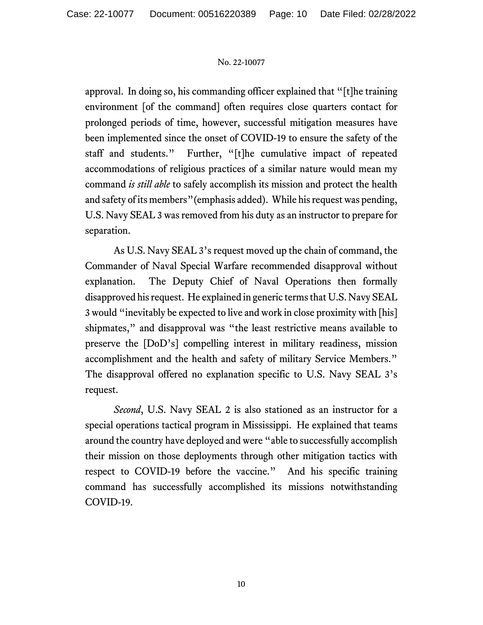approval. In doing so, his commanding officer explained that "[t]he training environment [of the command] often requires close quarters contact for prolonged periods of time, however, successful mitigation measures have been implemented since the onset of COVID-19 to ensure the safety of the staff and students." Further, "[t]he cumulative impact of repeated accommodations of religious practices of a similar nature would mean my command *is still able* to safely accomplish its mission and protect the health and safety of its members"(emphasis added). While his request was pending, U.S. Navy SEAL 3 was removed from his duty as an instructor to prepare for separation.

As U.S. Navy SEAL 3's request moved up the chain of command, the Commander of Naval Special Warfare recommended disapproval without explanation. The Deputy Chief of Naval Operations then formally disapproved his request. He explained in generic terms that U.S. Navy SEAL 3 would "inevitably be expected to live and work in close proximity with [his] shipmates," and disapproval was "the least restrictive means available to preserve the [DoD's] compelling interest in military readiness, mission accomplishment and the health and safety of military Service Members." The disapproval offered no explanation specific to U.S. Navy SEAL 3's request.

*Second*, U.S. Navy SEAL 2 is also stationed as an instructor for a special operations tactical program in Mississippi. He explained that teams around the country have deployed and were "able to successfully accomplish their mission on those deployments through other mitigation tactics with respect to COVID-19 before the vaccine." And his specific training command has successfully accomplished its missions notwithstanding COVID-19.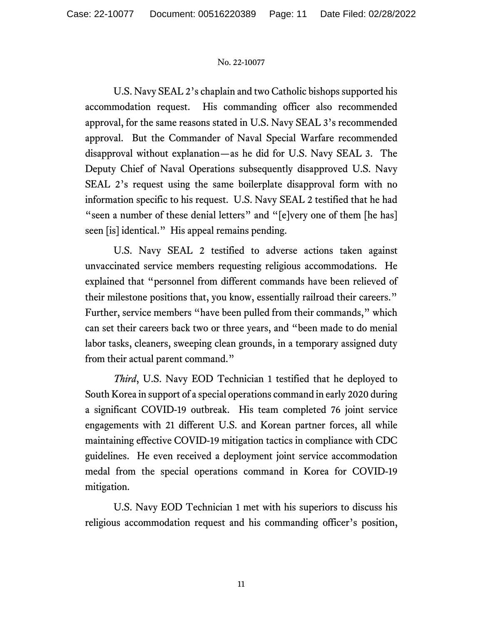U.S. Navy SEAL 2's chaplain and two Catholic bishops supported his accommodation request. His commanding officer also recommended approval, for the same reasons stated in U.S. Navy SEAL 3's recommended approval. But the Commander of Naval Special Warfare recommended disapproval without explanation—as he did for U.S. Navy SEAL 3. The Deputy Chief of Naval Operations subsequently disapproved U.S. Navy SEAL 2's request using the same boilerplate disapproval form with no information specific to his request. U.S. Navy SEAL 2 testified that he had "seen a number of these denial letters" and "[e]very one of them [he has] seen [is] identical." His appeal remains pending.

U.S. Navy SEAL 2 testified to adverse actions taken against unvaccinated service members requesting religious accommodations. He explained that "personnel from different commands have been relieved of their milestone positions that, you know, essentially railroad their careers." Further, service members "have been pulled from their commands," which can set their careers back two or three years, and "been made to do menial labor tasks, cleaners, sweeping clean grounds, in a temporary assigned duty from their actual parent command."

*Third*, U.S. Navy EOD Technician 1 testified that he deployed to South Korea in support of a special operations command in early 2020 during a significant COVID-19 outbreak. His team completed 76 joint service engagements with 21 different U.S. and Korean partner forces, all while maintaining effective COVID-19 mitigation tactics in compliance with CDC guidelines. He even received a deployment joint service accommodation medal from the special operations command in Korea for COVID-19 mitigation.

U.S. Navy EOD Technician 1 met with his superiors to discuss his religious accommodation request and his commanding officer's position,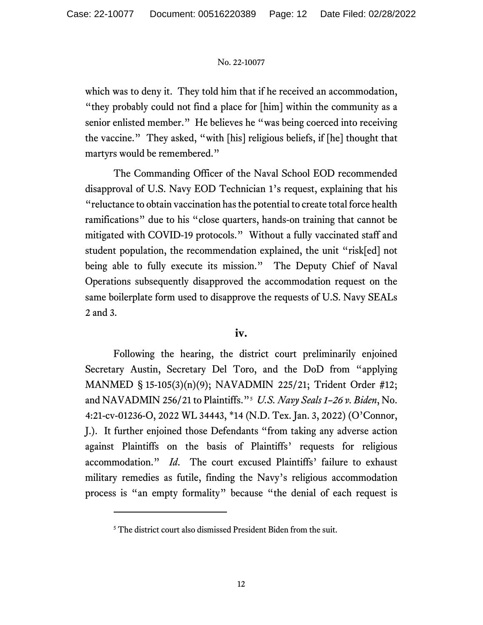which was to deny it. They told him that if he received an accommodation, "they probably could not find a place for [him] within the community as a senior enlisted member." He believes he "was being coerced into receiving the vaccine." They asked, "with [his] religious beliefs, if [he] thought that martyrs would be remembered."

The Commanding Officer of the Naval School EOD recommended disapproval of U.S. Navy EOD Technician 1's request, explaining that his "reluctance to obtain vaccination has the potential to create total force health ramifications" due to his "close quarters, hands-on training that cannot be mitigated with COVID-19 protocols." Without a fully vaccinated staff and student population, the recommendation explained, the unit "risk[ed] not being able to fully execute its mission." The Deputy Chief of Naval Operations subsequently disapproved the accommodation request on the same boilerplate form used to disapprove the requests of U.S. Navy SEALs 2 and 3.

# **iv.**

Following the hearing, the district court preliminarily enjoined Secretary Austin, Secretary Del Toro, and the DoD from "applying MANMED § 15-105(3)(n)(9); NAVADMIN 225/21; Trident Order #12; and NAVADMIN 256/21 to Plaintiffs."[5](#page-11-0) *U.S. Navy Seals 1–26 v. Biden*, No. 4:21-cv-01236-O, 2022 WL 34443, \*14 (N.D. Tex. Jan. 3, 2022) (O'Connor, J.). It further enjoined those Defendants "from taking any adverse action against Plaintiffs on the basis of Plaintiffs' requests for religious accommodation." *Id*. The court excused Plaintiffs' failure to exhaust military remedies as futile, finding the Navy's religious accommodation process is "an empty formality" because "the denial of each request is

<span id="page-11-0"></span><sup>&</sup>lt;sup>5</sup> The district court also dismissed President Biden from the suit.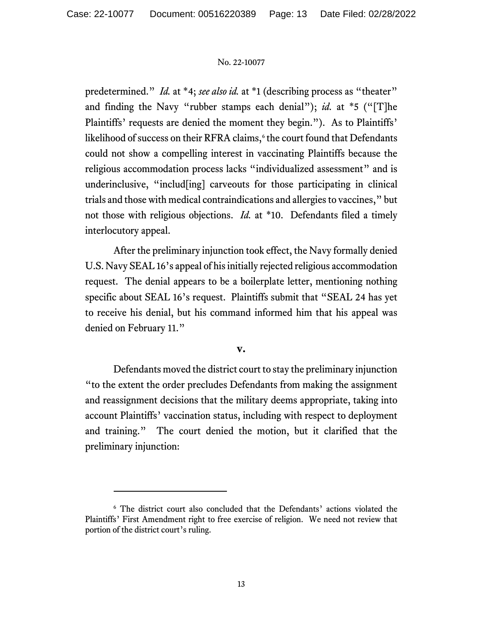predetermined." *Id.* at \*4; *see also id.* at \*1 (describing process as "theater" and finding the Navy "rubber stamps each denial"); *id.* at \*5 ("[T]he Plaintiffs' requests are denied the moment they begin."). As to Plaintiffs' likelihood of success on their RFRA claims,<sup>[6](#page-12-0)</sup> the court found that Defendants could not show a compelling interest in vaccinating Plaintiffs because the religious accommodation process lacks "individualized assessment" and is underinclusive, "includ[ing] carveouts for those participating in clinical trials and those with medical contraindications and allergies to vaccines," but not those with religious objections. *Id.* at \*10. Defendants filed a timely interlocutory appeal.

After the preliminary injunction took effect, the Navy formally denied U.S. Navy SEAL 16's appeal of his initially rejected religious accommodation request. The denial appears to be a boilerplate letter, mentioning nothing specific about SEAL 16's request. Plaintiffs submit that "SEAL 24 has yet to receive his denial, but his command informed him that his appeal was denied on February 11."

#### **v.**

Defendants moved the district court to stay the preliminary injunction "to the extent the order precludes Defendants from making the assignment and reassignment decisions that the military deems appropriate, taking into account Plaintiffs' vaccination status, including with respect to deployment and training." The court denied the motion, but it clarified that the preliminary injunction:

<span id="page-12-0"></span><sup>6</sup> The district court also concluded that the Defendants' actions violated the Plaintiffs' First Amendment right to free exercise of religion. We need not review that portion of the district court's ruling.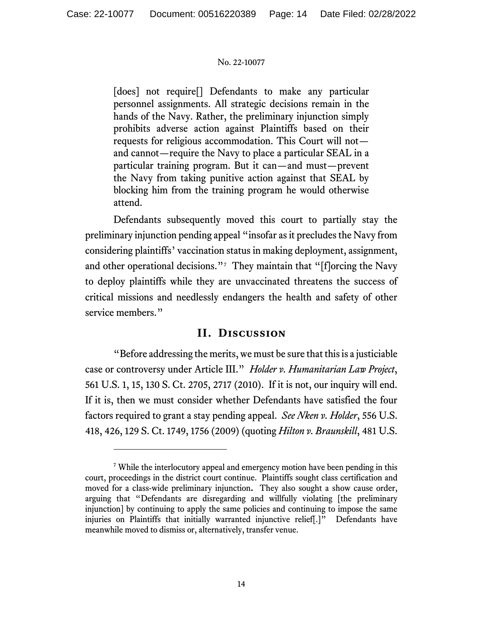[does] not require<sup>[]</sup> Defendants to make any particular personnel assignments. All strategic decisions remain in the hands of the Navy. Rather, the preliminary injunction simply prohibits adverse action against Plaintiffs based on their requests for religious accommodation. This Court will not and cannot—require the Navy to place a particular SEAL in a particular training program. But it can—and must—prevent the Navy from taking punitive action against that SEAL by blocking him from the training program he would otherwise attend.

Defendants subsequently moved this court to partially stay the preliminary injunction pending appeal "insofar as it precludes the Navy from considering plaintiffs' vaccination status in making deployment, assignment, and other operational decisions."<sup>[7](#page-13-0)</sup> They maintain that "[f]orcing the Navy to deploy plaintiffs while they are unvaccinated threatens the success of critical missions and needlessly endangers the health and safety of other service members."

# **II. Discussion**

"Before addressing the merits, we must be sure that this is a justiciable case or controversy under Article III." *Holder v. Humanitarian Law Project*, 561 U.S. 1, 15, 130 S. Ct. 2705, 2717 (2010). If it is not, our inquiry will end. If it is, then we must consider whether Defendants have satisfied the four factors required to grant a stay pending appeal. *See Nken v. Holder*, 556 U.S. 418, 426, 129 S. Ct. 1749, 1756 (2009) (quoting *Hilton v. Braunskill*, 481 U.S.

<span id="page-13-0"></span><sup>7</sup> While the interlocutory appeal and emergency motion have been pending in this court, proceedings in the district court continue. Plaintiffs sought class certification and moved for a class-wide preliminary injunction**.** They also sought a show cause order, arguing that "Defendants are disregarding and willfully violating [the preliminary injunction] by continuing to apply the same policies and continuing to impose the same injuries on Plaintiffs that initially warranted injunctive relief[.]"Defendants have meanwhile moved to dismiss or, alternatively, transfer venue.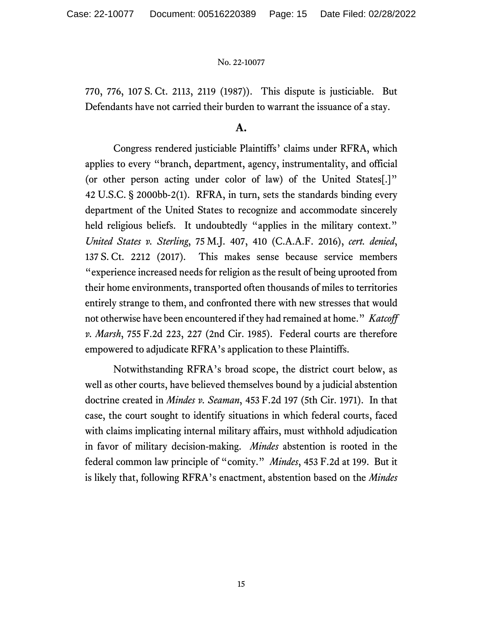770, 776, 107 S. Ct. 2113, 2119 (1987)). This dispute is justiciable. But Defendants have not carried their burden to warrant the issuance of a stay.

## **A.**

Congress rendered justiciable Plaintiffs' claims under RFRA, which applies to every "branch, department, agency, instrumentality, and official (or other person acting under color of law) of the United States[.]" 42 U.S.C. § 2000bb-2(1). RFRA, in turn, sets the standards binding every department of the United States to recognize and accommodate sincerely held religious beliefs. It undoubtedly "applies in the military context." *United States v. Sterling*, 75 M.J. 407, 410 (C.A.A.F. 2016), *cert. denied*, 137 S. Ct. 2212 (2017). This makes sense because service members "experience increased needs for religion as the result of being uprooted from their home environments, transported often thousands of miles to territories entirely strange to them, and confronted there with new stresses that would not otherwise have been encountered if they had remained at home." *Katcoff v. Marsh*, 755 F.2d 223, 227 (2nd Cir. 1985). Federal courts are therefore empowered to adjudicate RFRA's application to these Plaintiffs.

Notwithstanding RFRA's broad scope, the district court below, as well as other courts, have believed themselves bound by a judicial abstention doctrine created in *Mindes v. Seaman*, 453 F.2d 197 (5th Cir. 1971). In that case, the court sought to identify situations in which federal courts, faced with claims implicating internal military affairs, must withhold adjudication in favor of military decision-making. *Mindes* abstention is rooted in the federal common law principle of "comity." *Mindes*, 453 F.2d at 199. But it is likely that, following RFRA's enactment, abstention based on the *Mindes*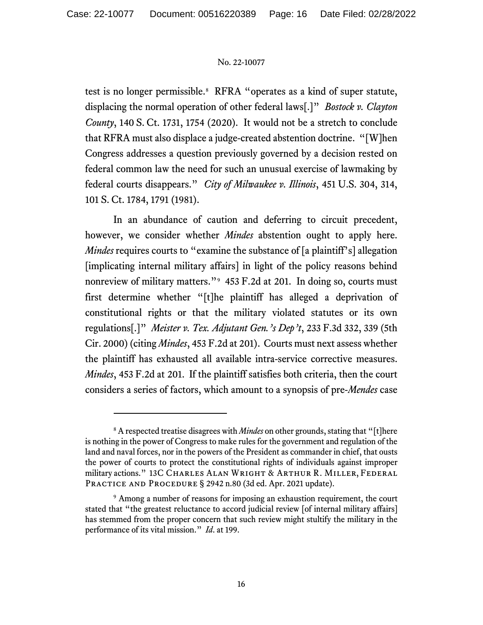test is no longer permissible.<sup>[8](#page-15-0)</sup> RFRA "operates as a kind of super statute, displacing the normal operation of other federal laws[.]" *Bostock v. Clayton County*, 140 S. Ct. 1731, 1754 (2020). It would not be a stretch to conclude that RFRA must also displace a judge-created abstention doctrine. "[W]hen Congress addresses a question previously governed by a decision rested on federal common law the need for such an unusual exercise of lawmaking by federal courts disappears." *City of Milwaukee v. Illinois*, 451 U.S. 304, 314, 101 S. Ct. 1784, 1791 (1981).

In an abundance of caution and deferring to circuit precedent, however, we consider whether *Mindes* abstention ought to apply here. *Mindes* requires courts to "examine the substance of [a plaintiff's] allegation [implicating internal military affairs] in light of the policy reasons behind nonreview of military matters."[9](#page-15-1) 453 F.2d at 201. In doing so, courts must first determine whether "[t]he plaintiff has alleged a deprivation of constitutional rights or that the military violated statutes or its own regulations[.]" *Meister v. Tex. Adjutant Gen.'s Dep't*, 233 F.3d 332, 339 (5th Cir. 2000) (citing *Mindes*, 453 F.2d at 201). Courts must next assess whether the plaintiff has exhausted all available intra-service corrective measures. *Mindes*, 453 F.2d at 201. If the plaintiff satisfies both criteria, then the court considers a series of factors, which amount to a synopsis of pre-*Mendes* case

<span id="page-15-0"></span><sup>8</sup> A respected treatise disagrees with *Mindes* on other grounds, stating that "[t]here is nothing in the power of Congress to make rules for the government and regulation of the land and naval forces, nor in the powers of the President as commander in chief, that ousts the power of courts to protect the constitutional rights of individuals against improper military actions." 13C Charles Alan Wright & Arthur R. Miller, Federal PRACTICE AND PROCEDURE § 2942 n.80 (3d ed. Apr. 2021 update).

<span id="page-15-1"></span><sup>&</sup>lt;sup>9</sup> Among a number of reasons for imposing an exhaustion requirement, the court stated that "the greatest reluctance to accord judicial review [of internal military affairs] has stemmed from the proper concern that such review might stultify the military in the performance of its vital mission." *Id*. at 199.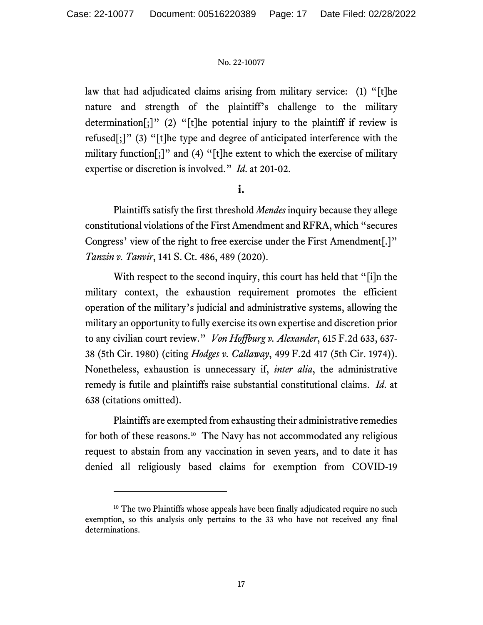law that had adjudicated claims arising from military service: (1) "[t]he nature and strength of the plaintiff's challenge to the military determination[;]" (2) "[t]he potential injury to the plaintiff if review is refused[;]" (3) "[t]he type and degree of anticipated interference with the military function[;]" and (4) "[t]he extent to which the exercise of military expertise or discretion is involved." *Id*. at 201-02.

**i.**

Plaintiffs satisfy the first threshold *Mendes* inquiry because they allege constitutional violations of the First Amendment and RFRA, which "secures Congress' view of the right to free exercise under the First Amendment[.]" *Tanzin v. Tanvir*, 141 S. Ct. 486, 489 (2020).

With respect to the second inquiry, this court has held that "[i]n the military context, the exhaustion requirement promotes the efficient operation of the military's judicial and administrative systems, allowing the military an opportunity to fully exercise its own expertise and discretion prior to any civilian court review." *Von Hoffburg v. Alexander*, 615 F.2d 633, 637- 38 (5th Cir. 1980) (citing *Hodges v. Callaway*, 499 F.2d 417 (5th Cir. 1974)). Nonetheless, exhaustion is unnecessary if, *inter alia*, the administrative remedy is futile and plaintiffs raise substantial constitutional claims. *Id*. at 638 (citations omitted).

Plaintiffs are exempted from exhausting their administrative remedies for both of these reasons. [10](#page-16-0) The Navy has not accommodated any religious request to abstain from any vaccination in seven years, and to date it has denied all religiously based claims for exemption from COVID-19

<span id="page-16-0"></span><sup>&</sup>lt;sup>10</sup> The two Plaintiffs whose appeals have been finally adjudicated require no such exemption, so this analysis only pertains to the 33 who have not received any final determinations.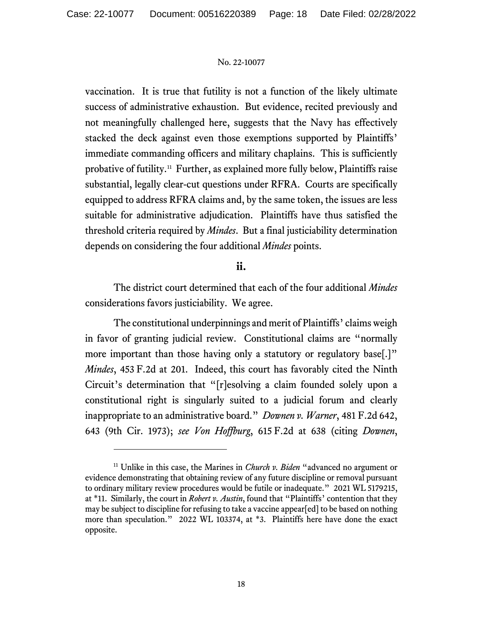vaccination. It is true that futility is not a function of the likely ultimate success of administrative exhaustion. But evidence, recited previously and not meaningfully challenged here, suggests that the Navy has effectively stacked the deck against even those exemptions supported by Plaintiffs' immediate commanding officers and military chaplains. This is sufficiently probative of futility.[11](#page-17-0) Further, as explained more fully below, Plaintiffs raise substantial, legally clear-cut questions under RFRA. Courts are specifically equipped to address RFRA claims and, by the same token, the issues are less suitable for administrative adjudication. Plaintiffs have thus satisfied the threshold criteria required by *Mindes*. But a final justiciability determination depends on considering the four additional *Mindes* points.

# **ii.**

The district court determined that each of the four additional *Mindes* considerations favors justiciability. We agree.

The constitutional underpinnings and merit of Plaintiffs' claims weigh in favor of granting judicial review. Constitutional claims are "normally more important than those having only a statutory or regulatory base.<sup>[1]</sup> *Mindes*, 453 F.2d at 201. Indeed, this court has favorably cited the Ninth Circuit's determination that "[r]esolving a claim founded solely upon a constitutional right is singularly suited to a judicial forum and clearly inappropriate to an administrative board." *Downen v. Warner*, 481 F.2d 642, 643 (9th Cir. 1973); *see Von Hoffburg*, 615 F.2d at 638 (citing *Downen*,

<span id="page-17-0"></span><sup>11</sup> Unlike in this case, the Marines in *Church v. Biden* "advanced no argument or evidence demonstrating that obtaining review of any future discipline or removal pursuant to ordinary military review procedures would be futile or inadequate." 2021 WL 5179215, at \*11. Similarly, the court in *Robert v. Austin*, found that "Plaintiffs' contention that they may be subject to discipline for refusing to take a vaccine appear[ed] to be based on nothing more than speculation." 2022 WL 103374, at \*3. Plaintiffs here have done the exact opposite.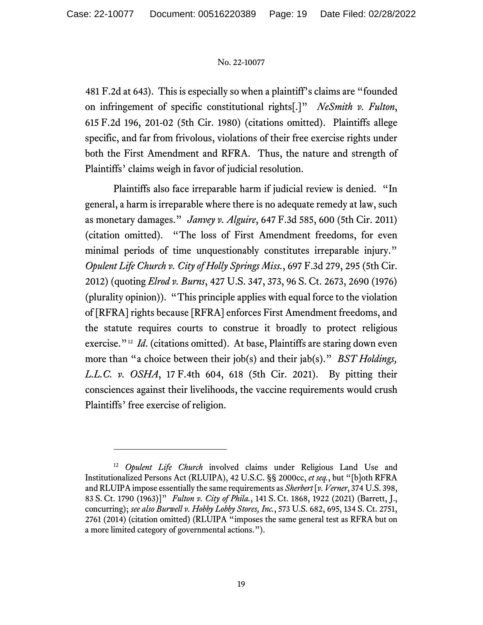481 F.2d at 643). This is especially so when a plaintiff's claims are "founded on infringement of specific constitutional rights[.]" *NeSmith v. Fulton*, 615 F.2d 196, 201-02 (5th Cir. 1980) (citations omitted). Plaintiffs allege specific, and far from frivolous, violations of their free exercise rights under both the First Amendment and RFRA. Thus, the nature and strength of Plaintiffs' claims weigh in favor of judicial resolution.

Plaintiffs also face irreparable harm if judicial review is denied. "In general, a harm is irreparable where there is no adequate remedy at law, such as monetary damages." *Janvey v. Alguire*, 647 F.3d 585, 600 (5th Cir. 2011) (citation omitted). "The loss of First Amendment freedoms, for even minimal periods of time unquestionably constitutes irreparable injury." *Opulent Life Church v. City of Holly Springs Miss.*, 697 F.3d 279, 295 (5th Cir. 2012) (quoting *Elrod v. Burns*, 427 U.S. 347, 373, 96 S. Ct. 2673, 2690 (1976) (plurality opinion)). "This principle applies with equal force to the violation of [RFRA] rights because [RFRA] enforces First Amendment freedoms, and the statute requires courts to construe it broadly to protect religious exercise."<sup>12</sup> *Id.* (citations omitted). At base, Plaintiffs are staring down even more than "a choice between their job(s) and their jab(s)." *BST Holdings, L.L.C. v. OSHA*, 17 F.4th 604, 618 (5th Cir. 2021). By pitting their consciences against their livelihoods, the vaccine requirements would crush Plaintiffs' free exercise of religion.

<span id="page-18-0"></span><sup>12</sup> *Opulent Life Church* involved claims under Religious Land Use and Institutionalized Persons Act (RLUIPA), 42 U.S.C. §§ 2000cc, *et seq.*, but "[b]oth RFRA and RLUIPA impose essentially the same requirements as *Sherbert* [*v. Verner*, 374 U.S. 398, 83 S. Ct. 1790 (1963)]" *Fulton v. City of Phila.*, 141 S. Ct. 1868, 1922 (2021) (Barrett, J., concurring); *see also Burwell v. Hobby Lobby Stores, Inc.*, 573 U.S. 682, 695, 134 S. Ct. 2751, 2761 (2014) (citation omitted) (RLUIPA "imposes the same general test as RFRA but on a more limited category of governmental actions.").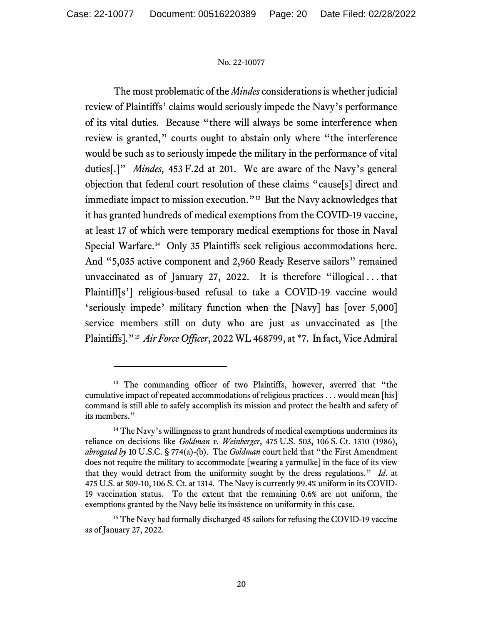The most problematic of the *Mindes* considerations is whether judicial review of Plaintiffs' claims would seriously impede the Navy's performance of its vital duties. Because "there will always be some interference when review is granted," courts ought to abstain only where "the interference would be such as to seriously impede the military in the performance of vital duties[.]" *Mindes,* 453 F.2d at 201. We are aware of the Navy's general objection that federal court resolution of these claims "cause[s] direct and immediate impact to mission execution."<sup>[13](#page-19-0)</sup> But the Navy acknowledges that it has granted hundreds of medical exemptions from the COVID-19 vaccine, at least 17 of which were temporary medical exemptions for those in Naval Special Warfare. [14](#page-19-1) Only 35 Plaintiffs seek religious accommodations here. And "5,035 active component and 2,960 Ready Reserve sailors" remained unvaccinated as of January 27, 2022. It is therefore "illogical . . . that Plaintiff[s'] religious-based refusal to take a COVID-19 vaccine would 'seriously impede' military function when the [Navy] has [over 5,000] service members still on duty who are just as unvaccinated as [the Plaintiffs]."[15](#page-19-2) *Air Force Officer*, 2022 WL 468799, at \*7. In fact, Vice Admiral

<span id="page-19-0"></span><sup>&</sup>lt;sup>13</sup> The commanding officer of two Plaintiffs, however, averred that "the cumulative impact of repeated accommodations of religious practices . . . would mean [his] command is still able to safely accomplish its mission and protect the health and safety of its members."

<span id="page-19-1"></span> $14$  The Navy's willingness to grant hundreds of medical exemptions undermines its reliance on decisions like *Goldman v. Weinberger*, 475 U.S. 503, 106 S. Ct. 1310 (1986), *abrogated by* 10 U.S.C. § 774(a)-(b). The *Goldman* court held that "the First Amendment does not require the military to accommodate [wearing a yarmulke] in the face of its view that they would detract from the uniformity sought by the dress regulations." *Id*. at 475 U.S. at 509-10, 106 S. Ct. at 1314. The Navy is currently 99.4% uniform in its COVID-19 vaccination status. To the extent that the remaining 0.6% are not uniform, the exemptions granted by the Navy belie its insistence on uniformity in this case.

<span id="page-19-2"></span><sup>&</sup>lt;sup>15</sup> The Navy had formally discharged 45 sailors for refusing the COVID-19 vaccine as of January 27, 2022.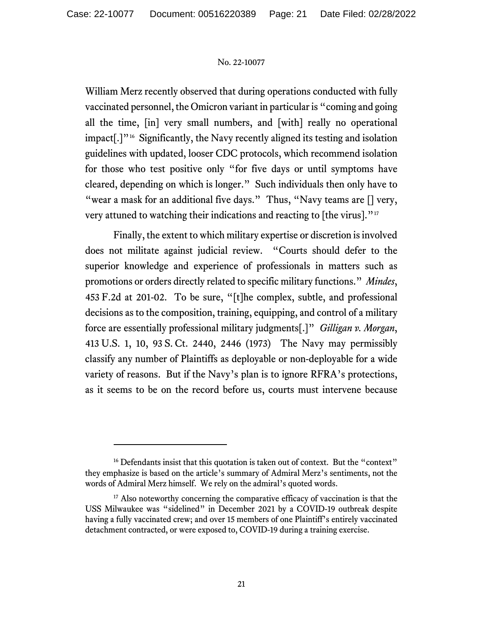William Merz recently observed that during operations conducted with fully vaccinated personnel, the Omicron variant in particular is "coming and going all the time, [in] very small numbers, and [with] really no operational impact[.]"[16](#page-20-0) Significantly, the Navy recently aligned its testing and isolation guidelines with updated, looser CDC protocols, which recommend isolation for those who test positive only "for five days or until symptoms have cleared, depending on which is longer." Such individuals then only have to "wear a mask for an additional five days." Thus, "Navy teams are  $[]$  very, very attuned to watching their indications and reacting to [the virus]."<sup>[17](#page-20-1)</sup>

Finally, the extent to which military expertise or discretion is involved does not militate against judicial review. "Courts should defer to the superior knowledge and experience of professionals in matters such as promotions or orders directly related to specific military functions." *Mindes*, 453 F.2d at 201-02. To be sure, "[t]he complex, subtle, and professional decisions as to the composition, training, equipping, and control of a military force are essentially professional military judgments[.]" *Gilligan v. Morgan*, 413 U.S. 1, 10, 93 S. Ct. 2440, 2446 (1973) The Navy may permissibly classify any number of Plaintiffs as deployable or non-deployable for a wide variety of reasons. But if the Navy's plan is to ignore RFRA's protections, as it seems to be on the record before us, courts must intervene because

<span id="page-20-0"></span><sup>&</sup>lt;sup>16</sup> Defendants insist that this quotation is taken out of context. But the "context" they emphasize is based on the article's summary of Admiral Merz's sentiments, not the words of Admiral Merz himself. We rely on the admiral's quoted words.

<span id="page-20-1"></span><sup>&</sup>lt;sup>17</sup> Also noteworthy concerning the comparative efficacy of vaccination is that the USS Milwaukee was "sidelined" in December 2021 by a COVID-19 outbreak despite having a fully vaccinated crew; and over 15 members of one Plaintiff's entirely vaccinated detachment contracted, or were exposed to, COVID-19 during a training exercise.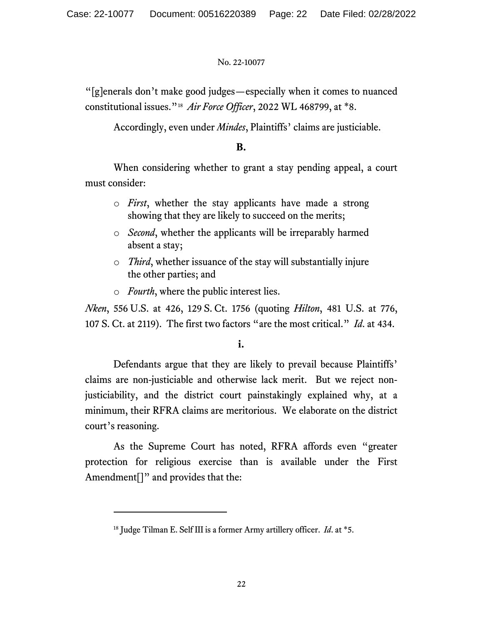"[g]enerals don't make good judges—especially when it comes to nuanced constitutional issues."[18](#page-21-0) *Air Force Officer*, 2022 WL 468799, at \*8.

Accordingly, even under *Mindes*, Plaintiffs' claims are justiciable.

# **B.**

When considering whether to grant a stay pending appeal, a court must consider:

- o *First*, whether the stay applicants have made a strong showing that they are likely to succeed on the merits;
- o *Second*, whether the applicants will be irreparably harmed absent a stay;
- o *Third*, whether issuance of the stay will substantially injure the other parties; and
- o *Fourth*, where the public interest lies.

*Nken*, 556 U.S. at 426, 129 S. Ct. 1756 (quoting *Hilton*, 481 U.S. at 776, 107 S. Ct. at 2119). The first two factors "are the most critical." *Id*. at 434.

# **i.**

Defendants argue that they are likely to prevail because Plaintiffs' claims are non-justiciable and otherwise lack merit. But we reject nonjusticiability, and the district court painstakingly explained why, at a minimum, their RFRA claims are meritorious. We elaborate on the district court's reasoning.

As the Supreme Court has noted, RFRA affords even "greater protection for religious exercise than is available under the First Amendment<sup>[]"</sup> and provides that the:

<span id="page-21-0"></span><sup>18</sup> Judge Tilman E. Self III is a former Army artillery officer. *Id*. at \*5.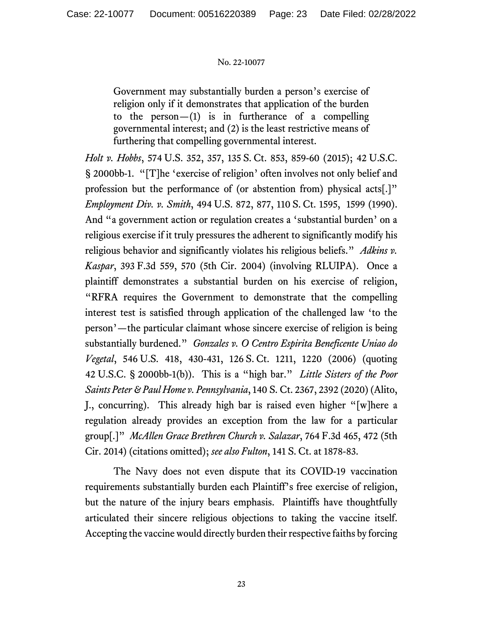Government may substantially burden a person's exercise of religion only if it demonstrates that application of the burden to the  $person-(1)$  is in furtherance of a compelling governmental interest; and (2) is the least restrictive means of furthering that compelling governmental interest.

*Holt v. Hobbs*, 574 U.S. 352, 357, 135 S. Ct. 853, 859-60 (2015); 42 U.S.C. § 2000bb-1. "[T]he 'exercise of religion' often involves not only belief and profession but the performance of (or abstention from) physical acts[.]" *Employment Div. v. Smith*, 494 U.S. 872, 877, 110 S. Ct. 1595, 1599 (1990). And "a government action or regulation creates a 'substantial burden' on a religious exercise if it truly pressures the adherent to significantly modify his religious behavior and significantly violates his religious beliefs." *Adkins v. Kaspar*, 393 F.3d 559, 570 (5th Cir. 2004) (involving RLUIPA). Once a plaintiff demonstrates a substantial burden on his exercise of religion, "RFRA requires the Government to demonstrate that the compelling interest test is satisfied through application of the challenged law 'to the person'—the particular claimant whose sincere exercise of religion is being substantially burdened." *Gonzales v. O Centro Espirita Beneficente Uniao do Vegetal*, 546 U.S. 418, 430-431, 126 S. Ct. 1211, 1220 (2006) (quoting 42 U.S.C. § 2000bb-1(b)). This is a "high bar." *Little Sisters of the Poor Saints Peter & Paul Home v. Pennsylvania*, 140 S. Ct. 2367, 2392 (2020) (Alito, J., concurring). This already high bar is raised even higher "[w]here a regulation already provides an exception from the law for a particular group[.]" *McAllen Grace Brethren Church v. Salazar*, 764 F.3d 465, 472 (5th Cir. 2014) (citations omitted); *see also Fulton*, 141 S. Ct. at 1878-83.

The Navy does not even dispute that its COVID-19 vaccination requirements substantially burden each Plaintiff's free exercise of religion, but the nature of the injury bears emphasis. Plaintiffs have thoughtfully articulated their sincere religious objections to taking the vaccine itself. Accepting the vaccine would directly burden their respective faiths by forcing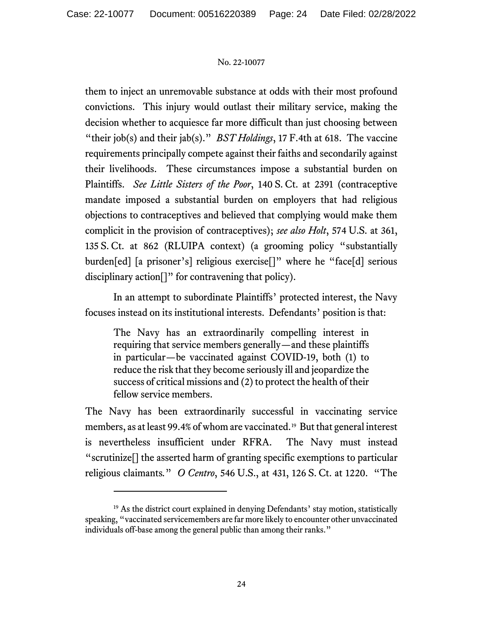them to inject an unremovable substance at odds with their most profound convictions. This injury would outlast their military service, making the decision whether to acquiesce far more difficult than just choosing between "their job(s) and their jab(s)." *BST Holdings*, 17 F.4th at 618. The vaccine requirements principally compete against their faiths and secondarily against their livelihoods. These circumstances impose a substantial burden on Plaintiffs. *See Little Sisters of the Poor*, 140 S. Ct. at 2391 (contraceptive mandate imposed a substantial burden on employers that had religious objections to contraceptives and believed that complying would make them complicit in the provision of contraceptives); *see also Holt*, 574 U.S. at 361, 135 S. Ct. at 862 (RLUIPA context) (a grooming policy "substantially burden[ed] [a prisoner's] religious exercise[]" where he "face[d] serious disciplinary action<sup>[]"</sup> for contravening that policy).

In an attempt to subordinate Plaintiffs' protected interest, the Navy focuses instead on its institutional interests. Defendants' position is that:

The Navy has an extraordinarily compelling interest in requiring that service members generally—and these plaintiffs in particular—be vaccinated against COVID-19, both (1) to reduce the risk that they become seriously ill and jeopardize the success of critical missions and (2) to protect the health of their fellow service members.

The Navy has been extraordinarily successful in vaccinating service members, as at least 99.4% of whom are vaccinated.[19](#page-23-0) But that general interest is nevertheless insufficient under RFRA. The Navy must instead "scrutinize[] the asserted harm of granting specific exemptions to particular religious claimants*.*" *O Centro*, 546 U.S., at 431, 126 S. Ct. at 1220. "The

<span id="page-23-0"></span> $19$  As the district court explained in denying Defendants' stay motion, statistically speaking, "vaccinated servicemembers are far more likely to encounter other unvaccinated individuals off-base among the general public than among their ranks."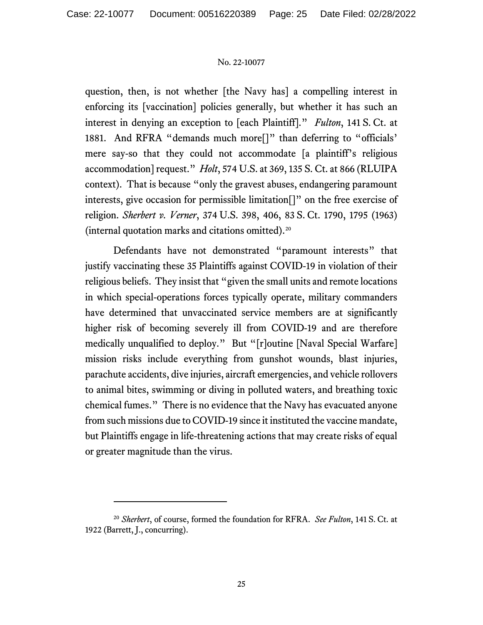question, then, is not whether [the Navy has] a compelling interest in enforcing its [vaccination] policies generally, but whether it has such an interest in denying an exception to [each Plaintiff]." *Fulton*, 141 S. Ct. at 1881. And RFRA "demands much more<sup>[]</sup>" than deferring to "officials" mere say-so that they could not accommodate [a plaintiff's religious accommodation] request." *Holt*, 574 U.S. at 369, 135 S. Ct. at 866 (RLUIPA context). That is because "only the gravest abuses, endangering paramount interests, give occasion for permissible limitation[]" on the free exercise of religion. *Sherbert v. Verner*, 374 U.S. 398, 406, 83 S. Ct. 1790, 1795 (1963) (internal quotation marks and citations omitted).[20](#page-24-0)

Defendants have not demonstrated "paramount interests" that justify vaccinating these 35 Plaintiffs against COVID-19 in violation of their religious beliefs. They insist that "given the small units and remote locations in which special-operations forces typically operate, military commanders have determined that unvaccinated service members are at significantly higher risk of becoming severely ill from COVID-19 and are therefore medically unqualified to deploy." But "[r]outine [Naval Special Warfare] mission risks include everything from gunshot wounds, blast injuries, parachute accidents, dive injuries, aircraft emergencies, and vehicle rollovers to animal bites, swimming or diving in polluted waters, and breathing toxic chemical fumes." There is no evidence that the Navy has evacuated anyone from such missions due to COVID-19 since it instituted the vaccine mandate, but Plaintiffs engage in life-threatening actions that may create risks of equal or greater magnitude than the virus.

<span id="page-24-0"></span><sup>20</sup> *Sherbert*, of course, formed the foundation for RFRA. *See Fulton*, 141 S. Ct. at 1922 (Barrett, J., concurring).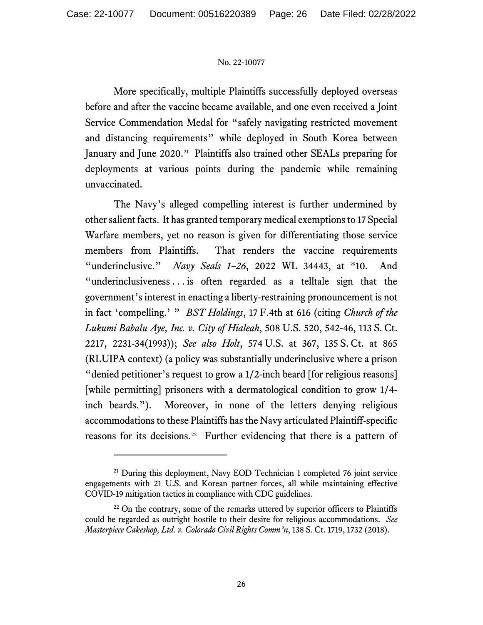More specifically, multiple Plaintiffs successfully deployed overseas before and after the vaccine became available, and one even received a Joint Service Commendation Medal for "safely navigating restricted movement and distancing requirements" while deployed in South Korea between January and June 2020.<sup>[21](#page-25-0)</sup> Plaintiffs also trained other SEALs preparing for deployments at various points during the pandemic while remaining unvaccinated.

The Navy's alleged compelling interest is further undermined by other salient facts. It has granted temporary medical exemptions to 17 Special Warfare members, yet no reason is given for differentiating those service members from Plaintiffs. That renders the vaccine requirements "underinclusive." *Navy Seals 1–26*, 2022 WL 34443, at \*10. And "underinclusiveness . . . is often regarded as a telltale sign that the government's interest in enacting a liberty-restraining pronouncement is not in fact 'compelling.' " *BST Holdings*, 17 F.4th at 616 (citing *Church of the Lukumi Babalu Aye, Inc. v. City of Hialeah*, 508 U.S. 520, 542-46, 113 S. Ct. 2217, 2231-34(1993)); *See also Holt*, 574 U.S. at 367, 135 S. Ct. at 865 (RLUIPA context) (a policy was substantially underinclusive where a prison "denied petitioner's request to grow a 1/2-inch beard [for religious reasons] [while permitting] prisoners with a dermatological condition to grow 1/4 inch beards."). Moreover, in none of the letters denying religious accommodations to these Plaintiffs has the Navy articulated Plaintiff-specific reasons for its decisions.<sup>[22](#page-25-1)</sup> Further evidencing that there is a pattern of

<span id="page-25-0"></span><sup>&</sup>lt;sup>21</sup> During this deployment, Navy EOD Technician 1 completed 76 joint service engagements with 21 U.S. and Korean partner forces, all while maintaining effective COVID-19 mitigation tactics in compliance with CDC guidelines.

<span id="page-25-1"></span> $22$  On the contrary, some of the remarks uttered by superior officers to Plaintiffs could be regarded as outright hostile to their desire for religious accommodations. *See Masterpiece Cakeshop, Ltd. v. Colorado Civil Rights Comm'n*, 138 S. Ct. 1719, 1732 (2018).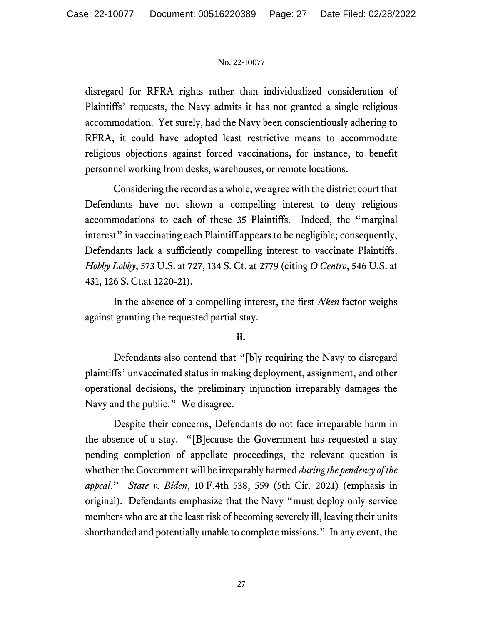disregard for RFRA rights rather than individualized consideration of Plaintiffs' requests, the Navy admits it has not granted a single religious accommodation. Yet surely, had the Navy been conscientiously adhering to RFRA, it could have adopted least restrictive means to accommodate religious objections against forced vaccinations, for instance, to benefit personnel working from desks, warehouses, or remote locations.

Considering the record as a whole, we agree with the district court that Defendants have not shown a compelling interest to deny religious accommodations to each of these 35 Plaintiffs. Indeed, the "marginal interest" in vaccinating each Plaintiff appears to be negligible; consequently, Defendants lack a sufficiently compelling interest to vaccinate Plaintiffs. *Hobby Lobby*, 573 U.S. at 727, 134 S. Ct. at 2779 (citing *O Centro*, 546 U.S. at 431, 126 S. Ct.at 1220-21).

In the absence of a compelling interest, the first *Nken* factor weighs against granting the requested partial stay.

# **ii.**

Defendants also contend that "[b]y requiring the Navy to disregard plaintiffs' unvaccinated status in making deployment, assignment, and other operational decisions, the preliminary injunction irreparably damages the Navy and the public." We disagree.

Despite their concerns, Defendants do not face irreparable harm in the absence of a stay. "[B]ecause the Government has requested a stay pending completion of appellate proceedings, the relevant question is whether the Government will be irreparably harmed *during the pendency of the appeal*." *State v. Biden*, 10 F.4th 538, 559 (5th Cir. 2021) (emphasis in original). Defendants emphasize that the Navy "must deploy only service members who are at the least risk of becoming severely ill, leaving their units shorthanded and potentially unable to complete missions." In any event, the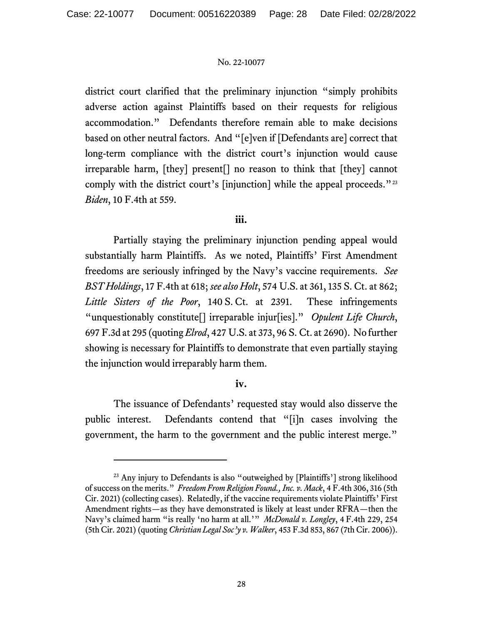district court clarified that the preliminary injunction "simply prohibits adverse action against Plaintiffs based on their requests for religious accommodation." Defendants therefore remain able to make decisions based on other neutral factors. And "[e]ven if [Defendants are] correct that long-term compliance with the district court's injunction would cause irreparable harm, [they] present[] no reason to think that [they] cannot comply with the district court's [injunction] while the appeal proceeds."<sup>[23](#page-27-0)</sup> *Biden*, 10 F.4th at 559.

# **iii.**

Partially staying the preliminary injunction pending appeal would substantially harm Plaintiffs. As we noted, Plaintiffs' First Amendment freedoms are seriously infringed by the Navy's vaccine requirements. *See BST Holdings*, 17 F.4th at 618; *see also Holt*, 574 U.S. at 361, 135 S. Ct. at 862; *Little Sisters of the Poor*, 140 S. Ct. at 2391. These infringements "unquestionably constitute[] irreparable injur[ies]." *Opulent Life Church*, 697 F.3d at 295 (quoting *Elrod*, 427 U.S. at 373, 96 S. Ct. at 2690). No further showing is necessary for Plaintiffs to demonstrate that even partially staying the injunction would irreparably harm them.

# **iv.**

The issuance of Defendants' requested stay would also disserve the public interest. Defendants contend that "[i]n cases involving the government, the harm to the government and the public interest merge."

<span id="page-27-0"></span><sup>&</sup>lt;sup>23</sup> Any injury to Defendants is also "outweighed by [Plaintiffs'] strong likelihood of success on the merits." *Freedom From Religion Found., Inc. v. Mack*, 4 F.4th 306, 316 (5th Cir. 2021) (collecting cases). Relatedly, if the vaccine requirements violate Plaintiffs' First Amendment rights—as they have demonstrated is likely at least under RFRA—then the Navy's claimed harm "is really 'no harm at all.'" *McDonald v. Longley*, 4 F.4th 229, 254 (5th Cir. 2021) (quoting *Christian Legal Soc'y v. Walker*, 453 F.3d 853, 867 (7th Cir. 2006)).